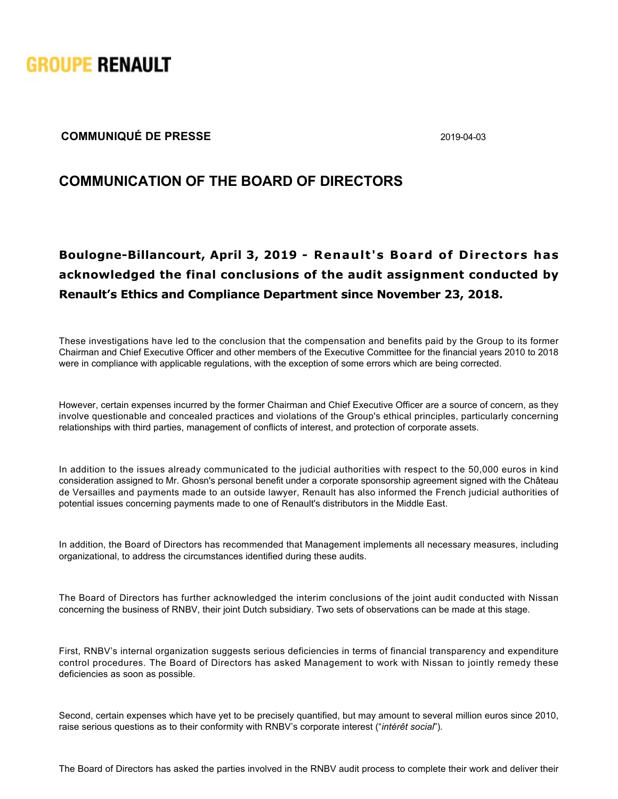

## **COMMUNIQUÉ DE PRESSE** 2019-04-03

## **COMMUNICATION OF THE BOARD OF DIRECTORS**

## Boulogne-Billancourt, April 3, 2019 - Renault's Board of Directors has **acknowledged the final conclusions of the audit assignment conducted by Renault's Ethics and Compliance Department since November 23, 2018.**

These investigations have led to the conclusion that the compensation and benefits paid by the Group to its former Chairman and Chief Executive Officer and other members of the Executive Committee for the financial years 2010 to 2018 were in compliance with applicable regulations, with the exception of some errors which are being corrected.

However, certain expenses incurred by the former Chairman and Chief Executive Officer are a source of concern, as they involve questionable and concealed practices and violations of the Group's ethical principles, particularly concerning relationships with third parties, management of conflicts of interest, and protection of corporate assets.

In addition to the issues already communicated to the judicial authorities with respect to the 50,000 euros in kind consideration assigned to Mr. Ghosn's personal benefit under a corporate sponsorship agreement signed with the Château de Versailles and payments made to an outside lawyer, Renault has also informed the French judicial authorities of potential issues concerning payments made to one of Renault's distributors in the Middle East.

In addition, the Board of Directors has recommended that Management implements all necessary measures, including organizational, to address the circumstances identified during these audits.

The Board of Directors has further acknowledged the interim conclusions of the joint audit conducted with Nissan concerning the business of RNBV, their joint Dutch subsidiary. Two sets of observations can be made at this stage.

First, RNBV's internal organization suggests serious deficiencies in terms of financial transparency and expenditure control procedures. The Board of Directors has asked Management to work with Nissan to jointly remedy these deficiencies as soon as possible.

Second, certain expenses which have yet to be precisely quantified, but may amount to several million euros since 2010, raise serious questions as to their conformity with RNBV's corporate interest ("*intérêt social*").